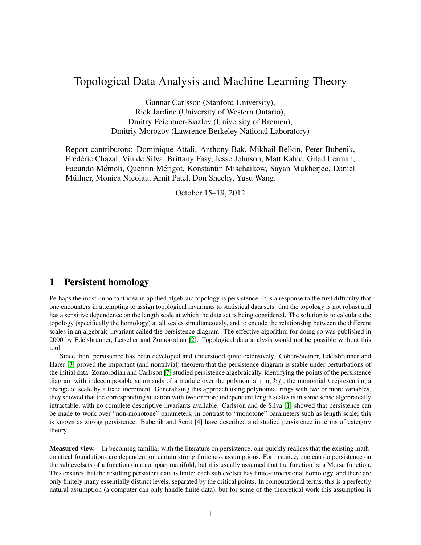# Topological Data Analysis and Machine Learning Theory

Gunnar Carlsson (Stanford University), Rick Jardine (University of Western Ontario), Dmitry Feichtner-Kozlov (University of Bremen), Dmitriy Morozov (Lawrence Berkeley National Laboratory)

Report contributors: Dominique Attali, Anthony Bak, Mikhail Belkin, Peter Bubenik, Frédéric Chazal, Vin de Silva, Brittany Fasy, Jesse Johnson, Matt Kahle, Gilad Lerman, Facundo Mémoli, Quentin Mérigot, Konstantin Mischaikow, Sayan Mukherjee, Daniel Müllner, Monica Nicolau, Amit Patel, Don Sheehy, Yusu Wang.

October 15–19, 2012

# 1 Persistent homology

Perhaps the most important idea in applied algebraic topology is persistence. It is a response to the first difficulty that one encounters in attempting to assign topological invariants to statistical data sets: that the topology is not robust and has a sensitive dependence on the length scale at which the data set is being considered. The solution is to calculate the topology (specifically the homology) at all scales simultaneously, and to encode the relationship between the different scales in an algebraic invariant called the persistence diagram. The effective algorithm for doing so was published in 2000 by Edelsbrunner, Letscher and Zomorodian [\[2\]](#page-8-0). Topological data analysis would not be possible without this tool.

Since then, persistence has been developed and understood quite extensively. Cohen-Steiner, Edelsbrunner and Harer [\[3\]](#page-8-1) proved the important (and nontrivial) theorem that the persistence diagram is stable under perturbations of the initial data. Zomorodian and Carlsson [\[7\]](#page-8-2) studied persistence algebraically, identifying the points of the persistence diagram with indecomposable summands of a module over the polynomial ring  $k[t]$ , the monomial t representing a change of scale by a fixed increment. Generalising this approach using polynomial rings with two or more variables, they showed that the corresponding situation with two or more independent length scales is in some sense algebraically intractable, with no complete descriptive invariants available. Carlsson and de Silva [\[1\]](#page-8-3) showed that persistence can be made to work over "non-monotone" parameters, in contrast to "monotone" parameters such as length scale; this is known as zigzag persistence. Bubenik and Scott [\[4\]](#page-8-4) have described and studied persistence in terms of category theory.

Measured view. In becoming familiar with the literature on persistence, one quickly realises that the existing mathematical foundations are dependent on certain strong finiteness assumptions. For instance, one can do persistence on the sublevelsets of a function on a compact manifold, but it is usually assumed that the function be a Morse function. This ensures that the resulting persistent data is finite: each sublevelset has finite-dimensional homology, and there are only finitely many essentially distinct levels, separated by the critical points. In computational terms, this is a perfectly natural assumption (a computer can only handle finite data), but for some of the theoretical work this assumption is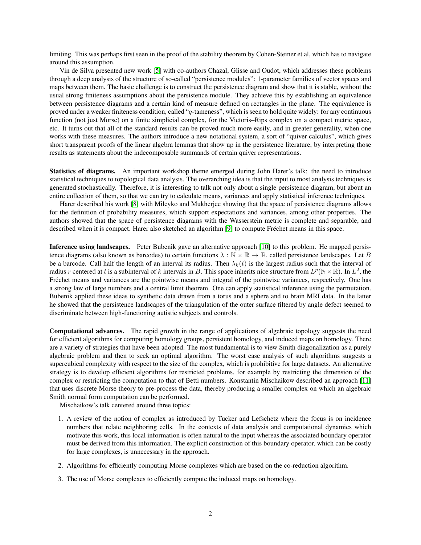limiting. This was perhaps first seen in the proof of the stability theorem by Cohen-Steiner et al, which has to navigate around this assumption.

Vin de Silva presented new work [\[5\]](#page-8-5) with co-authors Chazal, Glisse and Oudot, which addresses these problems through a deep analysis of the structure of so-called "persistence modules": 1-parameter families of vector spaces and maps between them. The basic challenge is to construct the persistence diagram and show that it is stable, without the usual strong finiteness assumptions about the persistence module. They achieve this by establishing an equivalence between persistence diagrams and a certain kind of measure defined on rectangles in the plane. The equivalence is proved under a weaker finiteness condition, called "q-tameness", which is seen to hold quite widely: for any continuous function (not just Morse) on a finite simplicial complex, for the Vietoris–Rips complex on a compact metric space, etc. It turns out that all of the standard results can be proved much more easily, and in greater generality, when one works with these measures. The authors introduce a new notational system, a sort of "quiver calculus", which gives short transparent proofs of the linear algebra lemmas that show up in the persistence literature, by interpreting those results as statements about the indecomposable summands of certain quiver representations.

Statistics of diagrams. An important workshop theme emerged during John Harer's talk: the need to introduce statistical techniques to topological data analysis. The overarching idea is that the input to most analysis techniques is generated stochastically. Therefore, it is interesting to talk not only about a single persistence diagram, but about an entire collection of them, so that we can try to calculate means, variances and apply statistical inference techniques.

Harer described his work [\[8\]](#page-9-0) with Mileyko and Mukherjee showing that the space of persistence diagrams allows for the definition of probability measures, which support expectations and variances, among other properties. The authors showed that the space of persistence diagrams with the Wasserstein metric is complete and separable, and described when it is compact. Harer also sketched an algorithm [\[9\]](#page-9-1) to compute Fréchet means in this space.

Inference using landscapes. Peter Bubenik gave an alternative approach [\[10\]](#page-9-2) to this problem. He mapped persistence diagrams (also known as barcodes) to certain functions  $\lambda : \mathbb{N} \times \mathbb{R} \to \mathbb{R}$ , called persistence landscapes. Let B be a barcode. Call half the length of an interval its radius. Then  $\lambda_k(t)$  is the largest radius such that the interval of radius r centered at t is a subinterval of k intervals in B. This space inherits nice structure from  $L^p(\mathbb{N} \times \mathbb{R})$ . In  $L^2$ , the Fréchet means and variances are the pointwise means and integral of the pointwise variances, respectively. One has a strong law of large numbers and a central limit theorem. One can apply statistical inference using the permutation. Bubenik applied these ideas to synthetic data drawn from a torus and a sphere and to brain MRI data. In the latter he showed that the persistence landscapes of the triangulation of the outer surface filtered by angle defect seemed to discriminate between high-functioning autistic subjects and controls.

Computational advances. The rapid growth in the range of applications of algebraic topology suggests the need for efficient algorithms for computing homology groups, persistent homology, and induced maps on homology. There are a variety of strategies that have been adopted. The most fundamental is to view Smith diagonalization as a purely algebraic problem and then to seek an optimal algorithm. The worst case analysis of such algorithms suggests a supercubical complexity with respect to the size of the complex, which is prohibitive for large datasets. An alternative strategy is to develop efficient algorithms for restricted problems, for example by restricting the dimension of the complex or restricting the computation to that of Betti numbers. Konstantin Mischaikow described an approach [\[11\]](#page-9-3) that uses discrete Morse theory to pre-process the data, thereby producing a smaller complex on which an algebraic Smith normal form computation can be performed.

Mischaikow's talk centered around three topics:

- 1. A review of the notion of complex as introduced by Tucker and Lefschetz where the focus is on incidence numbers that relate neighboring cells. In the contexts of data analysis and computational dynamics which motivate this work, this local information is often natural to the input whereas the associated boundary operator must be derived from this information. The explicit construction of this boundary operator, which can be costly for large complexes, is unnecessary in the approach.
- 2. Algorithms for efficiently computing Morse complexes which are based on the co-reduction algorithm.
- 3. The use of Morse complexes to efficiently compute the induced maps on homology.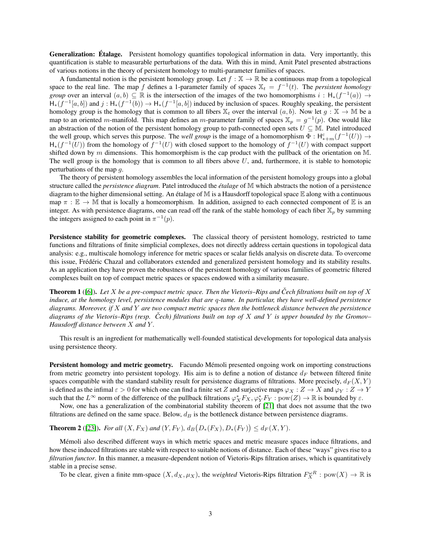**Generalization: Étalage.** Persistent homology quantifies topological information in data. Very importantly, this quantification is stable to measurable perturbations of the data. With this in mind, Amit Patel presented abstractions of various notions in the theory of persistent homology to multi-parameter families of spaces.

A fundamental notion is the persistent homology group. Let  $f : \mathbb{X} \to \mathbb{R}$  be a continuous map from a topological space to the real line. The map f defines a 1-parameter family of spaces  $X_t = f^{-1}(t)$ . The *persistent homology group* over an interval  $(a, b) \subseteq \mathbb{R}$  is the intersection of the images of the two homomorphisms  $i : H_*(f^{-1}(a)) \to$  $H_*(f^{-1}[a,b])$  and  $j: H_*(f^{-1}(b)) \to H_*(f^{-1}[a,b])$  induced by inclusion of spaces. Roughly speaking, the persistent homology group is the homology that is common to all fibers  $\mathbb{X}_t$  over the interval  $(a, b)$ . Now let  $g : \mathbb{X} \to \mathbb{M}$  be a map to an oriented m-manifold. This map defines an m-parameter family of spaces  $\mathbb{X}_p = g^{-1}(p)$ . One would like an abstraction of the notion of the persistent homology group to path-connected open sets  $U \subseteq M$ . Patel introduced the well group, which serves this purpose. The *well group* is the image of a homomorphism  $\Phi : H^c_{*+m}(f^{-1}(U)) \to$  $H_*(f^{-1}(U))$  from the homology of  $f^{-1}(U)$  with closed support to the homology of  $f^{-1}(U)$  with compact support shifted down by  $m$  dimensions. This homomorphism is the cap product with the pullback of the orientation on M. The well group is the homology that is common to all fibers above  $U$ , and, furthermore, it is stable to homotopic perturbations of the map g.

The theory of persistent homology assembles the local information of the persistent homology groups into a global structure called the *persistence diagram*. Patel introduced the *étalage* of M which abstracts the notion of a persistence diagram to the higher dimensional setting. An étalage of  $\mathbb M$  is a Hausdorff topological space  $\mathbb E$  along with a continuous map  $\pi : \mathbb{E} \to \mathbb{M}$  that is locally a homeomorphism. In addition, assigned to each connected component of  $\mathbb{E}$  is an integer. As with persistence diagrams, one can read off the rank of the stable homology of each fiber  $\mathbb{X}_p$  by summing the integers assigned to each point in  $\pi^{-1}(p)$ .

Persistence stability for geometric complexes. The classical theory of persistent homology, restricted to tame functions and filtrations of finite simplicial complexes, does not directly address certain questions in topological data analysis: e.g., multiscale homology inference for metric spaces or scalar fields analysis on discrete data. To overcome this issue, Frédéric Chazal and collaborators extended and generalized persistent homology and its stability results. As an application they have proven the robustness of the persistent homology of various families of geometric filtered complexes built on top of compact metric spaces or spaces endowed with a similarity measure.

Theorem 1 ([\[6\]](#page-8-6)). *Let* X *be a pre-compact metric space. Then the Vietoris–Rips and Cech filtrations built on top of ˇ* X *induce, at the homology level, persistence modules that are* q*-tame. In particular, they have well-defined persistence diagrams. Moreover, if* X *and* Y *are two compact metric spaces then the bottleneck distance between the persistence diagrams of the Vietoris–Rips (resp. Cech) filtrations built on top of ˇ* X *and* Y *is upper bounded by the Gromov– Hausdorff distance between* X *and* Y *.*

This result is an ingredient for mathematically well-founded statistical developments for topological data analysis using persistence theory.

**Persistent homology and metric geometry.** Facundo Mémoli presented ongoing work on importing constructions from metric geometry into persistent topology. His aim is to define a notion of distance  $d_F$  between filtered finite spaces compatible with the standard stability result for persistence diagrams of filtrations. More precisely,  $d_F(X, Y)$ is defined as the infimal  $\varepsilon > 0$  for which one can find a finite set Z and surjective maps  $\varphi_X : Z \to X$  and  $\varphi_Y : Z \to Y$ such that the  $L^{\infty}$  norm of the difference of the pullback filtrations  $\varphi_X^*F_X, \varphi_Y^*F_Y : \text{pow}(Z) \to \mathbb{R}$  is bounded by  $\varepsilon$ .

Now, one has a generalization of the combinatorial stability theorem of [\[21\]](#page-9-4) that does not assume that the two filtrations are defined on the same space. Below,  $d_B$  is the bottleneck distance between persistence diagrams.

<span id="page-2-0"></span>**Theorem 2** ([\[23\]](#page-9-5)). *For all*  $(X, F_X)$  *and*  $(Y, F_Y)$ ,  $d_B(D_*(F_X), D_*(F_Y)) \le d_F(X, Y)$ .

Memoli also described different ways in which metric spaces and metric measure spaces induce filtrations, and ´ how these induced filtrations are stable with respect to suitable notions of distance. Each of these "ways" gives rise to a *filtration functor*. In this manner, a measure-dependent notion of Vietoris-Rips filtration arises, which is quantitatively stable in a precise sense.

To be clear, given a finite mm-space  $(X, d_X, \mu_X)$ , the *weighted* Vietoris-Rips filtration  $F_X^{\omega R} : pow(X) \to \mathbb{R}$  is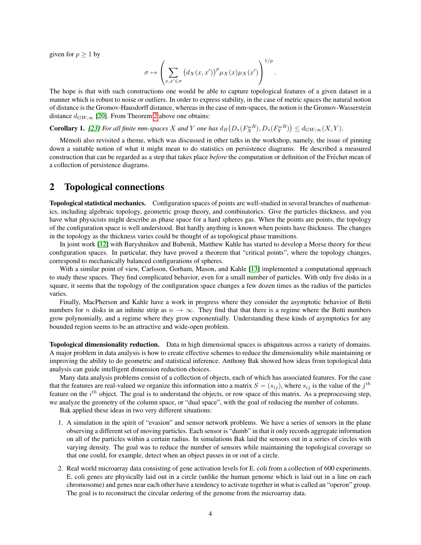given for  $p \geq 1$  by

$$
\sigma \mapsto \left(\sum_{x,x'\in\sigma} \left(d_X(x,x')\right)^p \mu_X(x)\mu_X(x')\right)^{1/p}.
$$

The hope is that with such constructions one would be able to capture topological features of a given dataset in a manner which is robust to noise or outliers. In order to express stability, in the case of metric spaces the natural notion of distance is the Gromov-Hausdorff distance, whereas in the case of mm-spaces, the notion is the Gromov-Wasserstein distance  $d_{GW,\infty}$  [\[20\]](#page-9-6). From Theorem [2](#page-2-0) above one obtains:

**Corollary 1.** *[\[23\]](#page-9-5)* For all finite mm-spaces X and Y one has  $d_B(D_*(F_X^{\omega R}), D_*(F_Y^{\omega R})) \le d_{GW,\infty}(X,Y)$ .

Mémoli also revisited a theme, which was discussed in other talks in the workshop, namely, the issue of pinning down a suitable notion of what it might mean to do statistics on persistence diagrams. He described a measured construction that can be regarded as a step that takes place *before* the computation or definition of the Frechet mean of ´ a collection of persistence diagrams.

### 2 Topological connections

Topological statistical mechanics. Configuration spaces of points are well-studied in several branches of mathematics, including algebraic topology, geometric group theory, and combinatorics. Give the particles thickness, and you have what physicists might describe as phase space for a hard spheres gas. When the points are points, the topology of the configuration space is well understood. But hardly anything is known when points have thickness. The changes in the topology as the thickness varies could be thought of as topological phase transitions.

In joint work [\[12\]](#page-9-7) with Baryshnikov and Bubenik, Matthew Kahle has started to develop a Morse theory for these configuration spaces. In particular, they have proved a theorem that "critical points", where the topology changes, correspond to mechanically balanced configurations of spheres.

With a similar point of view, Carlsson, Gorham, Mason, and Kahle [\[13\]](#page-9-8) implemented a computational approach to study these spaces. They find complicated behavior, even for a small number of particles. With only five disks in a square, it seems that the topology of the configuration space changes a few dozen times as the radius of the particles varies.

Finally, MacPherson and Kahle have a work in progress where they consider the asymptotic behavior of Betti numbers for n disks in an infinite strip as  $n \to \infty$ . They find that that there is a regime where the Betti numbers grow polynomially, and a regime where they grow exponentially. Understanding these kinds of asymptotics for any bounded region seems to be an attractive and wide-open problem.

Topological dimensionality reduction. Data in high dimensional spaces is ubiquitous across a variety of domains. A major problem in data analysis is how to create effective schemes to reduce the dimensionality while maintaining or improving the ability to do geometric and statistical inference. Anthony Bak showed how ideas from topological data analysis can guide intelligent dimension reduction choices.

Many data analysis problems consist of a collection of objects, each of which has associated features. For the case that the features are real-valued we organize this information into a matrix  $S = (s_{ij})$ , where  $s_{ij}$  is the value of the  $j^{th}$ feature on the  $i^{th}$  object. The goal is to understand the objects, or row space of this matrix. As a preprocessing step, we analyze the geometry of the column space, or "dual space", with the goal of reducing the number of columns.

Bak applied these ideas in two very different situations:

- 1. A simulation in the spirit of "evasion" and sensor network problems. We have a series of sensors in the plane observing a different set of moving particles. Each sensor is "dumb" in that it only records aggregate information on all of the particles within a certain radius. In simulations Bak laid the sensors out in a series of circles with varying density. The goal was to reduce the number of sensors while maintaining the topological coverage so that one could, for example, detect when an object passes in or out of a circle.
- 2. Real world microarray data consisting of gene activation levels for E. coli from a collection of 600 experiments. E. coli genes are physically laid out in a circle (unlike the human genome which is laid out in a line on each chromosome) and genes near each other have a tendency to activate together in what is called an "operon" group. The goal is to reconstruct the circular ordering of the genome from the microarray data.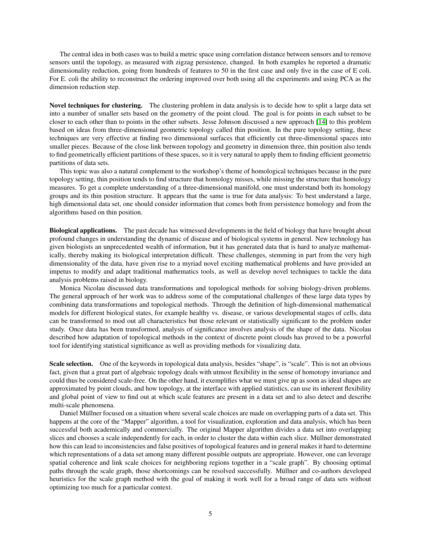The central idea in both cases was to build a metric space using correlation distance between sensors and to remove sensors until the topology, as measured with zigzag persistence, changed. In both examples he reported a dramatic dimensionality reduction, going from hundreds of features to 50 in the first case and only five in the case of E coli. For E. coli the ability to reconstruct the ordering improved over both using all the experiments and using PCA as the dimension reduction step.

Novel techniques for clustering. The clustering problem in data analysis is to decide how to split a large data set into a number of smaller sets based on the geometry of the point cloud. The goal is for points in each subset to be closer to each other than to points in the other subsets. Jesse Johnson discussed a new approach [\[14\]](#page-9-9) to this problem based on ideas from three-dimensional geometric topology called thin position. In the pure topology setting, these techniques are very effective at finding two dimensional surfaces that efficiently cut three-dimensional spaces into smaller pieces. Because of the close link between topology and geometry in dimension three, thin position also tends to find geometrically efficient partitions of these spaces, so it is very natural to apply them to finding efficient geometric partitions of data sets.

This topic was also a natural complement to the workshop's theme of homological techniques because in the pure topology setting, thin position tends to find structure that homology misses, while missing the structure that homology measures. To get a complete understanding of a three-dimensional manifold, one must understand both its homology groups and its thin position structure. It appears that the same is true for data analysis: To best understand a large, high dimensional data set, one should consider information that comes both from persistence homology and from the algorithms based on thin position.

Biological applications. The past decade has witnessed developments in the field of biology that have brought about profound changes in understanding the dynamic of disease and of biological systems in general. New technology has given biologists an unprecedented wealth of information, but it has generated data that is hard to analyze mathematically, thereby making its biological interpretation difficult. These challenges, stemming in part from the very high dimensionality of the data, have given rise to a myriad novel exciting mathematical problems and have provided an impetus to modify and adapt traditional mathematics tools, as well as develop novel techniques to tackle the data analysis problems raised in biology.

Monica Nicolau discussed data transformations and topological methods for solving biology-driven problems. The general approach of her work was to address some of the computational challenges of these large data types by combining data transformations and topological methods. Through the definition of high-dimensional mathematical models for different biological states, for example healthy vs. disease, or various developmental stages of cells, data can be transformed to mod out all characteristics but those relevant or statistically significant to the problem under study. Once data has been transformed, analysis of significance involves analysis of the shape of the data. Nicolau described how adaptation of topological methods in the context of discrete point clouds has proved to be a powerful tool for identifying statistical significance as well as providing methods for visualizing data.

Scale selection. One of the keywords in topological data analysis, besides "shape", is "scale". This is not an obvious fact, given that a great part of algebraic topology deals with utmost flexibility in the sense of homotopy invariance and could thus be considered scale-free. On the other hand, it exemplifies what we must give up as soon as ideal shapes are approximated by point clouds, and how topology, at the interface with applied statistics, can use its inherent flexibility and global point of view to find out at which scale features are present in a data set and to also detect and describe multi-scale phenomena.

Daniel Müllner focused on a situation where several scale choices are made on overlapping parts of a data set. This happens at the core of the "Mapper" algorithm, a tool for visualization, exploration and data analysis, which has been successful both academically and commercially. The original Mapper algorithm divides a data set into overlapping slices and chooses a scale independently for each, in order to cluster the data within each slice. Müllner demonstrated how this can lead to inconsistencies and false positives of topological features and in general makes it hard to determine which representations of a data set among many different possible outputs are appropriate. However, one can leverage spatial coherence and link scale choices for neighboring regions together in a "scale graph". By choosing optimal paths through the scale graph, those shortcomings can be resolved successfully. Müllner and co-authors developed heuristics for the scale graph method with the goal of making it work well for a broad range of data sets without optimizing too much for a particular context.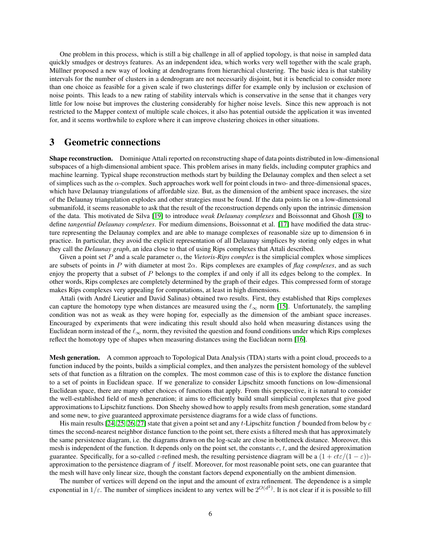One problem in this process, which is still a big challenge in all of applied topology, is that noise in sampled data quickly smudges or destroys features. As an independent idea, which works very well together with the scale graph, Müllner proposed a new way of looking at dendrograms from hierarchical clustering. The basic idea is that stability intervals for the number of clusters in a dendrogram are not necessarily disjoint, but it is beneficial to consider more than one choice as feasible for a given scale if two clusterings differ for example only by inclusion or exclusion of noise points. This leads to a new rating of stability intervals which is conservative in the sense that it changes very little for low noise but improves the clustering considerably for higher noise levels. Since this new approach is not restricted to the Mapper context of multiple scale choices, it also has potential outside the application it was invented for, and it seems worthwhile to explore where it can improve clustering choices in other situations.

## 3 Geometric connections

Shape reconstruction. Dominique Attali reported on reconstructing shape of data points distributed in low-dimensional subspaces of a high-dimensional ambient space. This problem arises in many fields, including computer graphics and machine learning. Typical shape reconstruction methods start by building the Delaunay complex and then select a set of simplices such as the  $\alpha$ -complex. Such approaches work well for point clouds in two- and three-dimensional spaces, which have Delaunay triangulations of affordable size. But, as the dimension of the ambient space increases, the size of the Delaunay triangulation explodes and other strategies must be found. If the data points lie on a low-dimensional submanifold, it seems reasonable to ask that the result of the reconstruction depends only upon the intrinsic dimension of the data. This motivated de Silva [\[19\]](#page-9-10) to introduce *weak Delaunay complexes* and Boissonnat and Ghosh [\[18\]](#page-9-11) to define *tangential Delaunay complexes*. For medium dimensions, Boissonnat et al. [\[17\]](#page-9-12) have modified the data structure representing the Delaunay complex and are able to manage complexes of reasonable size up to dimension 6 in practice. In particular, they avoid the explicit representation of all Delaunay simplices by storing only edges in what they call the *Delaunay graph*, an idea close to that of using Rips complexes that Attali described.

Given a point set P and a scale parameter  $\alpha$ , the *Vietoris-Rips complex* is the simplicial complex whose simplices are subsets of points in P with diameter at most 2α. Rips complexes are examples of *flag complexes*, and as such enjoy the property that a subset of  $P$  belongs to the complex if and only if all its edges belong to the complex. In other words, Rips complexes are completely determined by the graph of their edges. This compressed form of storage makes Rips complexes very appealing for computations, at least in high dimensions.

Attali (with Andre Lieutier and David Salinas) obtained two results. First, they established that Rips complexes ´ can capture the homotopy type when distances are measured using the  $\ell_{\infty}$  norm [\[15\]](#page-9-13). Unfortunately, the sampling condition was not as weak as they were hoping for, especially as the dimension of the ambiant space increases. Encouraged by experiments that were indicating this result should also hold when measuring distances using the Euclidean norm instead of the  $\ell_{\infty}$  norm, they revisited the question and found conditions under which Rips complexes reflect the homotopy type of shapes when measuring distances using the Euclidean norm [\[16\]](#page-9-14).

Mesh generation. A common approach to Topological Data Analysis (TDA) starts with a point cloud, proceeds to a function induced by the points, builds a simplicial complex, and then analyzes the persistent homology of the sublevel sets of that function as a filtration on the complex. The most common case of this is to explore the distance function to a set of points in Euclidean space. If we generalize to consider Lipschitz smooth functions on low-dimensional Euclidean space, there are many other choices of functions that apply. From this perspective, it is natural to consider the well-established field of mesh generation; it aims to efficiently build small simplicial complexes that give good approximations to Lipschitz functions. Don Sheehy showed how to apply results from mesh generation, some standard and some new, to give guaranteed approximate persistence diagrams for a wide class of functions.

His main results [\[24,](#page-9-15) [25,](#page-9-16) [26,](#page-9-17) [27\]](#page-9-18) state that given a point set and any t-Lipschitz function f bounded from below by  $c$ times the second-nearest neighbor distance function to the point set, there exists a filtered mesh that has approximately the same persistence diagram, i.e. the diagrams drawn on the log-scale are close in bottleneck distance. Moreover, this mesh is independent of the function. It depends only on the point set, the constants  $c, t$ , and the desired approximation guarantee. Specifically, for a so-called  $\varepsilon$ -refined mesh, the resulting persistence diagram will be a  $(1 + \alpha \varepsilon/(1 - \varepsilon))$ approximation to the persistence diagram of  $f$  itself. Moreover, for most reasonable point sets, one can guarantee that the mesh will have only linear size, though the constant factors depend exponentially on the ambient dimension.

The number of vertices will depend on the input and the amount of extra refinement. The dependence is a simple exponential in  $1/\varepsilon$ . The number of simplices incident to any vertex will be  $2^{O(d^2)}$ . It is not clear if it is possible to fill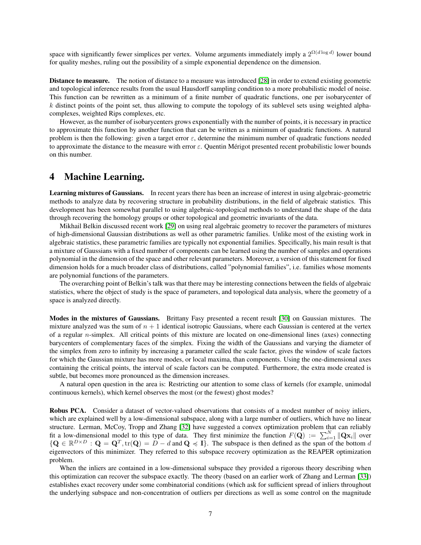space with significantly fewer simplices per vertex. Volume arguments immediately imply a  $2^{\Omega(d \log d)}$  lower bound for quality meshes, ruling out the possibility of a simple exponential dependence on the dimension.

Distance to measure. The notion of distance to a measure was introduced [\[28\]](#page-9-19) in order to extend existing geometric and topological inference results from the usual Hausdorff sampling condition to a more probabilistic model of noise. This function can be rewritten as a minimum of a finite number of quadratic functions, one per isobarycenter of  $k$  distinct points of the point set, thus allowing to compute the topology of its sublevel sets using weighted alphacomplexes, weighted Rips complexes, etc.

However, as the number of isobarycenters grows exponentially with the number of points, it is necessary in practice to approximate this function by another function that can be written as a minimum of quadratic functions. A natural problem is then the following: given a target error  $\varepsilon$ , determine the minimum number of quadratic functions needed to approximate the distance to the measure with error  $\varepsilon$ . Quentin Mérigot presented recent probabilistic lower bounds on this number.

### 4 Machine Learning.

Learning mixtures of Gaussians. In recent years there has been an increase of interest in using algebraic-geometric methods to analyze data by recovering structure in probability distributions, in the field of algebraic statistics. This development has been somewhat parallel to using algebraic-topological methods to understand the shape of the data through recovering the homology groups or other topological and geometric invariants of the data.

Mikhail Belkin discussed recent work [\[29\]](#page-9-20) on using real algebraic geometry to recover the parameters of mixtures of high-dimensional Gaussian distributions as well as other parametric families. Unlike most of the existing work in algebraic statistics, these parametric families are typically not exponential families. Specifically, his main result is that a mixture of Gaussians with a fixed number of components can be learned using the number of samples and operations polynomial in the dimension of the space and other relevant parameters. Moreover, a version of this statement for fixed dimension holds for a much broader class of distributions, called "polynomial families", i.e. families whose moments are polynomial functions of the parameters.

The overarching point of Belkin's talk was that there may be interesting connections between the fields of algebraic statistics, where the object of study is the space of parameters, and topological data analysis, where the geometry of a space is analyzed directly.

Modes in the mixtures of Gaussians. Brittany Fasy presented a recent result [\[30\]](#page-10-0) on Gaussian mixtures. The mixture analyzed was the sum of  $n + 1$  identical isotropic Gaussians, where each Gaussian is centered at the vertex of a regular  $n$ -simplex. All critical points of this mixture are located on one-dimensional lines (axes) connecting barycenters of complementary faces of the simplex. Fixing the width of the Gaussians and varying the diameter of the simplex from zero to infinity by increasing a parameter called the scale factor, gives the window of scale factors for which the Gaussian mixture has more modes, or local maxima, than components. Using the one-dimensional axes containing the critical points, the interval of scale factors can be computed. Furthermore, the extra mode created is subtle, but becomes more pronounced as the dimension increases.

A natural open question in the area is: Restricting our attention to some class of kernels (for example, unimodal continuous kernels), which kernel observes the most (or the fewest) ghost modes?

Robus PCA. Consider a dataset of vector-valued observations that consists of a modest number of noisy inliers, which are explained well by a low-dimensional subspace, along with a large number of outliers, which have no linear structure. Lerman, McCoy, Tropp and Zhang [\[32\]](#page-10-1) have suggested a convex optimization problem that can reliably fit a low-dimensional model to this type of data. They first minimize the function  $F(\mathbf{Q}) := \sum_{i=1}^{N} ||\mathbf{Q} \mathbf{x}_i||$  over  ${Q \in \mathbb{R}^{D \times D} : Q = Q^T, \text{tr}(Q) = D - d \text{ and } Q \leq I}.$  The subspace is then defined as the span of the bottom d eigenvectors of this minimizer. They referred to this subspace recovery optimization as the REAPER optimization problem.

When the inliers are contained in a low-dimensional subspace they provided a rigorous theory describing when this optimization can recover the subspace exactly. The theory (based on an earlier work of Zhang and Lerman [\[33\]](#page-10-2)) establishes exact recovery under some combinatorial conditions (which ask for sufficient spread of inliers throughout the underlying subspace and non-concentration of outliers per directions as well as some control on the magnitude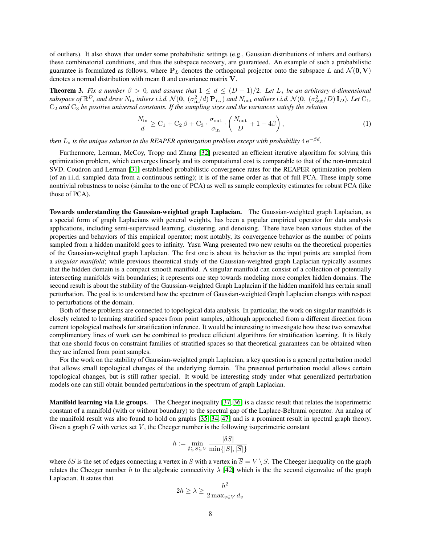of outliers). It also shows that under some probabilistic settings (e.g., Gaussian distributions of inliers and outliers) these combinatorial conditions, and thus the subspace recovery, are guaranteed. An example of such a probabilistic guarantee is formulated as follows, where  $P_L$  denotes the orthogonal projector onto the subspace L and  $\mathcal{N}(0, V)$ denotes a normal distribution with mean 0 and covariance matrix V.

**Theorem 3.** Fix a number  $\beta > 0$ , and assume that  $1 \leq d \leq (D-1)/2$ . Let  $L_*$  be an arbitrary d-dimensional  $\alpha$  subspace of  $\mathbb{R}^D$ , and draw  $N_{\rm in}$  inliers i.i.d.  $\mathcal{N}(\mathbf{0}, (\sigma_{\rm in}^2/d)\, \mathbf{P}_{L_*})$  and  $N_{\rm out}$  outliers i.i.d.  $\mathcal{N}(\mathbf{0}, (\sigma_{\rm out}^2/D)\, \mathbf{I}_D)$ . Let  $\rm C_1$ , C<sup>2</sup> *and* C<sup>3</sup> *be positive universal constants. If the sampling sizes and the variances satisfy the relation*

$$
\frac{N_{\text{in}}}{d} \ge C_1 + C_2 \beta + C_3 \cdot \frac{\sigma_{\text{out}}}{\sigma_{\text{in}}} \cdot \left(\frac{N_{\text{out}}}{D} + 1 + 4\beta\right),\tag{1}
$$

then  $L_*$  is the unique solution to the REAPER optimization problem except with probability  $4\,\mathrm{e}^{-\beta d}.$ 

Furthermore, Lerman, McCoy, Tropp and Zhang [\[32\]](#page-10-1) presented an efficient iterative algorithm for solving this optimization problem, which converges linearly and its computational cost is comparable to that of the non-truncated SVD. Coudron and Lerman [\[31\]](#page-10-3) established probabilistic convergence rates for the REAPER optimization problem (of an i.i.d. sampled data from a continuous setting); it is of the same order as that of full PCA. These imply some nontrivial robustness to noise (similar to the one of PCA) as well as sample complexity estimates for robust PCA (like those of PCA).

Towards understanding the Gaussian-weighted graph Laplacian. The Gaussian-weighted graph Laplacian, as a special form of graph Laplacians with general weights, has been a popular empirical operator for data analysis applications, including semi-supervised learning, clustering, and denoising. There have been various studies of the properties and behaviors of this empirical operator; most notably, its convergence behavior as the number of points sampled from a hidden manifold goes to infinity. Yusu Wang presented two new results on the theoretical properties of the Gaussian-weighted graph Laplacian. The first one is about its behavior as the input points are sampled from a *singular manifold*; while previous theoretical study of the Gaussian-weighted graph Laplacian typically assumes that the hidden domain is a compact smooth manifold. A singular manifold can consist of a collection of potentially intersecting manifolds with boundaries; it represents one step towards modeling more complex hidden domains. The second result is about the stability of the Gaussian-weighted Graph Laplacian if the hidden manifold has certain small perturbation. The goal is to understand how the spectrum of Gaussian-weighted Graph Laplacian changes with respect to perturbations of the domain.

Both of these problems are connected to topological data analysis. In particular, the work on singular manifolds is closely related to learning stratified spaces from point samples, although approached from a different direction from current topological methods for stratification inference. It would be interesting to investigate how these two somewhat complimentary lines of work can be combined to produce efficient algorithms for stratification learning. It is likely that one should focus on constraint families of stratified spaces so that theoretical guarantees can be obtained when they are inferred from point samples.

For the work on the stability of Gaussian-weighted graph Laplacian, a key question is a general perturbation model that allows small topological changes of the underlying domain. The presented perturbation model allows certain topological changes, but is still rather special. It would be interesting study under what generalized perturbation models one can still obtain bounded perturbations in the spectrum of graph Laplacian.

Manifold learning via Lie groups. The Cheeger inequality [\[37,](#page-10-4) [36\]](#page-10-5) is a classic result that relates the isoperimetric constant of a manifold (with or without boundary) to the spectral gap of the Laplace-Beltrami operator. An analog of the manifold result was also found to hold on graphs [\[35,](#page-10-6) [34,](#page-10-7) [47\]](#page-10-8) and is a prominent result in spectral graph theory. Given a graph  $G$  with vertex set  $V$ , the Cheeger number is the following isoperimetric constant

$$
h := \min_{\emptyset \subsetneq S \subsetneq V} \frac{|\delta S|}{\min\{|S|, |\overline{S}|\}}
$$

where  $\delta S$  is the set of edges connecting a vertex in S with a vertex in  $\overline{S} = V \setminus S$ . The Cheeger inequality on the graph relates the Cheeger number h to the algebraic connectivity  $\lambda$  [\[42\]](#page-10-9) which is the the second eigenvalue of the graph Laplacian. It states that

$$
2h \ge \lambda \ge \frac{h^2}{2 \max_{v \in V} d_v}
$$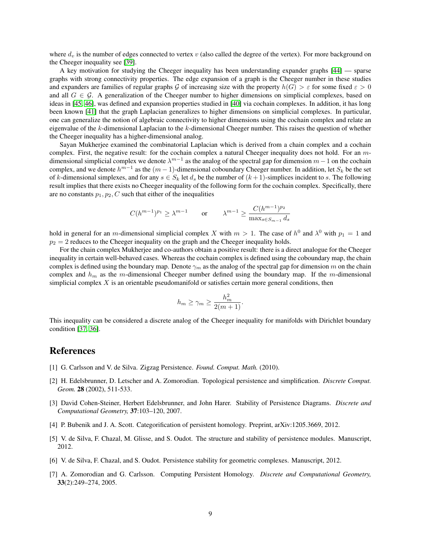where  $d<sub>v</sub>$  is the number of edges connected to vertex v (also called the degree of the vertex). For more background on the Cheeger inequality see [\[39\]](#page-10-10).

A key motivation for studying the Cheeger inequality has been understanding expander graphs [\[44\]](#page-10-11) — sparse graphs with strong connectivity properties. The edge expansion of a graph is the Cheeger number in these studies and expanders are families of regular graphs G of increasing size with the property  $h(G) > \varepsilon$  for some fixed  $\varepsilon > 0$ and all  $G \in \mathcal{G}$ . A generalization of the Cheeger number to higher dimensions on simplicial complexes, based on ideas in [\[45,](#page-10-12) [46\]](#page-10-13), was defined and expansion properties studied in [\[40\]](#page-10-14) via cochain complexes. In addition, it has long been known [\[41\]](#page-10-15) that the graph Laplacian generalizes to higher dimensions on simplicial complexes. In particular, one can generalize the notion of algebraic connectivity to higher dimensions using the cochain complex and relate an eigenvalue of the k-dimensional Laplacian to the k-dimensional Cheeger number. This raises the question of whether the Cheeger inequality has a higher-dimensional analog.

Sayan Mukherjee examined the combinatorial Laplacian which is derived from a chain complex and a cochain complex. First, the negative result: for the cochain complex a natural Cheeger inequality does not hold. For an  $m$ dimensional simplicial complex we denote  $\lambda^{m-1}$  as the analog of the spectral gap for dimension  $m-1$  on the cochain complex, and we denote  $h^{m-1}$  as the  $(m-1)$ -dimensional coboundary Cheeger number. In addition, let  $S_k$  be the set of k-dimensional simplexes, and for any  $s \in S_k$  let  $d_s$  be the number of  $(k+1)$ -simplices incident to s. The following result implies that there exists no Cheeger inequality of the following form for the cochain complex. Specifically, there are no constants  $p_1, p_2, C$  such that either of the inequalities

$$
C(h^{m-1})^{p_1} \ge \lambda^{m-1} \qquad \text{or} \qquad \lambda^{m-1} \ge \frac{C(h^{m-1})^{p_2}}{\max_{s \in S_{m-1}} d_s}
$$

hold in general for an *m*-dimensional simplicial complex X with  $m > 1$ . The case of  $h^0$  and  $\lambda^0$  with  $p_1 = 1$  and  $p_2 = 2$  reduces to the Cheeger inequality on the graph and the Cheeger inequality holds.

For the chain complex Mukherjee and co-authors obtain a positive result: there is a direct analogue for the Cheeger inequality in certain well-behaved cases. Whereas the cochain complex is defined using the coboundary map, the chain complex is defined using the boundary map. Denote  $\gamma_m$  as the analog of the spectral gap for dimension m on the chain complex and  $h_m$  as the m-dimensional Cheeger number defined using the boundary map. If the m-dimensional simplicial complex X is an orientable pseudomanifold or satisfies certain more general conditions, then

$$
h_m \ge \gamma_m \ge \frac{h_m^2}{2(m+1)}.
$$

This inequality can be considered a discrete analog of the Cheeger inequality for manifolds with Dirichlet boundary condition [\[37,](#page-10-4) [36\]](#page-10-5).

#### References

- <span id="page-8-3"></span>[1] G. Carlsson and V. de Silva. Zigzag Persistence. *Found. Comput. Math.* (2010).
- <span id="page-8-0"></span>[2] H. Edelsbrunner, D. Letscher and A. Zomorodian. Topological persistence and simplification. *Discrete Comput. Geom.* 28 (2002), 511-533.
- <span id="page-8-1"></span>[3] David Cohen-Steiner, Herbert Edelsbrunner, and John Harer. Stability of Persistence Diagrams. *Discrete and Computational Geometry,* 37:103–120, 2007.
- <span id="page-8-4"></span>[4] P. Bubenik and J. A. Scott. Categorification of persistent homology. Preprint, arXiv:1205.3669, 2012.
- <span id="page-8-5"></span>[5] V. de Silva, F. Chazal, M. Glisse, and S. Oudot. The structure and stability of persistence modules. Manuscript, 2012.
- <span id="page-8-6"></span>[6] V. de Silva, F. Chazal, and S. Oudot. Persistence stability for geometric complexes. Manuscript, 2012.
- <span id="page-8-2"></span>[7] A. Zomorodian and G. Carlsson. Computing Persistent Homology. *Discrete and Computational Geometry,* 33(2):249–274, 2005.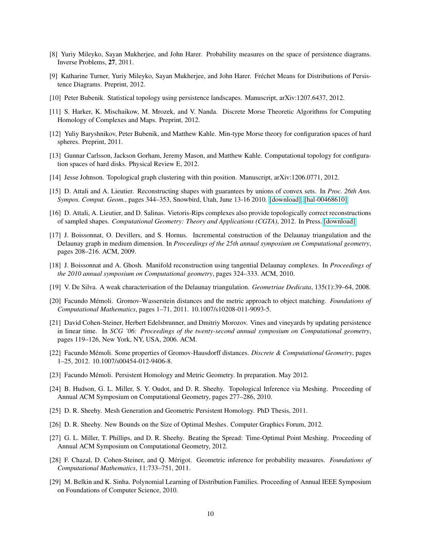- <span id="page-9-0"></span>[8] Yuriy Mileyko, Sayan Mukherjee, and John Harer. Probability measures on the space of persistence diagrams. Inverse Problems, 27, 2011.
- <span id="page-9-1"></span>[9] Katharine Turner, Yuriy Mileyko, Sayan Mukherjee, and John Harer. Frechet Means for Distributions of Persis- ´ tence Diagrams. Preprint, 2012.
- <span id="page-9-2"></span>[10] Peter Bubenik. Statistical topology using persistence landscapes. Manuscript, arXiv:1207.6437, 2012.
- <span id="page-9-3"></span>[11] S. Harker, K. Mischaikow, M. Mrozek, and V. Nanda. Discrete Morse Theoretic Algorithms for Computing Homology of Complexes and Maps. Preprint, 2012.
- <span id="page-9-7"></span>[12] Yuliy Baryshnikov, Peter Bubenik, and Matthew Kahle. Min-type Morse theory for configuration spaces of hard spheres. Preprint, 2011.
- <span id="page-9-8"></span>[13] Gunnar Carlsson, Jackson Gorham, Jeremy Mason, and Matthew Kahle. Computational topology for configuration spaces of hard disks. Physical Review E, 2012.
- <span id="page-9-9"></span>[14] Jesse Johnson. Topological graph clustering with thin position. Manuscript, arXiv:1206.0771, 2012.
- <span id="page-9-13"></span>[15] D. Attali and A. Lieutier. Reconstructing shapes with guarantees by unions of convex sets. In *Proc. 26th Ann. Sympos. Comput. Geom.*, pages 344–353, Snowbird, Utah, June 13-16 2010. [\[download\],](http://www.gipsa-lab.inpg.fr/~dominique.attali/Publications/2010-socg-reconstruction-convex.pdf) [\[hal-00468610\].](http://hal.archives-ouvertes.fr/hal-00468610/fr/)
- <span id="page-9-14"></span>[16] D. Attali, A. Lieutier, and D. Salinas. Vietoris-Rips complexes also provide topologically correct reconstructions of sampled shapes. *Computational Geometry: Theory and Applications (CGTA)*, 2012. In Press. [\[download\].](http://www.gipsa-lab.inpg.fr/~dominique.attali/Publications/2012-cgta-Rips.pdf)
- <span id="page-9-12"></span>[17] J. Boissonnat, O. Devillers, and S. Hornus. Incremental construction of the Delaunay triangulation and the Delaunay graph in medium dimension. In *Proceedings of the 25th annual symposium on Computational geometry*, pages 208–216. ACM, 2009.
- <span id="page-9-11"></span>[18] J. Boissonnat and A. Ghosh. Manifold reconstruction using tangential Delaunay complexes. In *Proceedings of the 2010 annual symposium on Computational geometry*, pages 324–333. ACM, 2010.
- <span id="page-9-10"></span>[19] V. De Silva. A weak characterisation of the Delaunay triangulation. *Geometriae Dedicata*, 135(1):39–64, 2008.
- <span id="page-9-6"></span>[20] Facundo Mémoli. Gromov-Wasserstein distances and the metric approach to object matching. *Foundations of Computational Mathematics*, pages 1–71, 2011. 10.1007/s10208-011-9093-5.
- <span id="page-9-4"></span>[21] David Cohen-Steiner, Herbert Edelsbrunner, and Dmitriy Morozov. Vines and vineyards by updating persistence in linear time. In *SCG '06: Proceedings of the twenty-second annual symposium on Computational geometry*, pages 119–126, New York, NY, USA, 2006. ACM.
- [22] Facundo Mémoli. Some properties of Gromov-Hausdorff distances. *Discrete & Computational Geometry*, pages 1–25, 2012. 10.1007/s00454-012-9406-8.
- <span id="page-9-5"></span>[23] Facundo Mémoli. Persistent Homology and Metric Geometry. In preparation. May 2012.
- <span id="page-9-15"></span>[24] B. Hudson, G. L. Miller, S. Y. Oudot, and D. R. Sheehy. Topological Inference via Meshing. Proceeding of Annual ACM Symposium on Computational Geometry, pages 277–286, 2010.
- <span id="page-9-16"></span>[25] D. R. Sheehy. Mesh Generation and Geometric Persistent Homology. PhD Thesis, 2011.
- <span id="page-9-17"></span>[26] D. R. Sheehy. New Bounds on the Size of Optimal Meshes. Computer Graphics Forum, 2012.
- <span id="page-9-18"></span>[27] G. L. Miller, T. Phillips, and D. R. Sheehy. Beating the Spread: Time-Optimal Point Meshing. Proceeding of Annual ACM Symposium on Computational Geometry, 2012.
- <span id="page-9-19"></span>[28] F. Chazal, D. Cohen-Steiner, and Q. Merigot. Geometric inference for probability measures. ´ *Foundations of Computational Mathematics*, 11:733–751, 2011.
- <span id="page-9-20"></span>[29] M. Belkin and K. Sinha. Polynomial Learning of Distribution Families. Proceeding of Annual IEEE Symposium on Foundations of Computer Science, 2010.